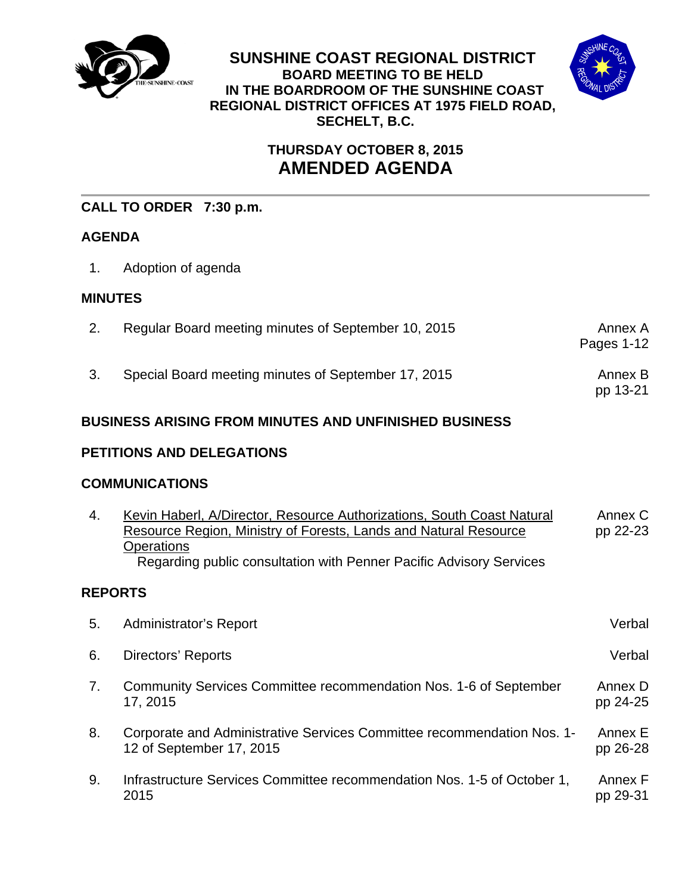

**SUNSHINE COAST REGIONAL DISTRICT BOARD MEETING TO BE HELD IN THE BOARDROOM OF THE SUNSHINE COAST REGIONAL DISTRICT OFFICES AT 1975 FIELD ROAD, SECHELT, B.C.** 



# **THURSDAY OCTOBER 8, 2015 AMENDED AGENDA**

## **CALL TO ORDER 7:30 p.m.**

## **AGENDA**

1. Adoption of agenda

### **MINUTES**

| Regular Board meeting minutes of September 10, 2015 | Annex A<br>Pages 1-12 |
|-----------------------------------------------------|-----------------------|
| Special Board meeting minutes of September 17, 2015 | Annex B<br>pp 13-21   |

## **BUSINESS ARISING FROM MINUTES AND UNFINISHED BUSINESS**

## **PETITIONS AND DELEGATIONS**

### **COMMUNICATIONS**

| 4. | Kevin Haberl, A/Director, Resource Authorizations, South Coast Natural<br>Resource Region, Ministry of Forests, Lands and Natural Resource<br>Operations<br>Regarding public consultation with Penner Pacific Advisory Services | Annex C<br>pp 22-23 |  |  |  |
|----|---------------------------------------------------------------------------------------------------------------------------------------------------------------------------------------------------------------------------------|---------------------|--|--|--|
|    | <b>REPORTS</b>                                                                                                                                                                                                                  |                     |  |  |  |
| 5. | Administrator's Report                                                                                                                                                                                                          | Verbal              |  |  |  |
| 6. | Directors' Reports                                                                                                                                                                                                              | Verbal              |  |  |  |
| 7. | Community Services Committee recommendation Nos. 1-6 of September<br>17, 2015                                                                                                                                                   | Annex D<br>pp 24-25 |  |  |  |
| 8. | Corporate and Administrative Services Committee recommendation Nos. 1-<br>12 of September 17, 2015                                                                                                                              | Annex E<br>pp 26-28 |  |  |  |
| 9. | Infrastructure Services Committee recommendation Nos. 1-5 of October 1,<br>2015                                                                                                                                                 | Annex F<br>pp 29-31 |  |  |  |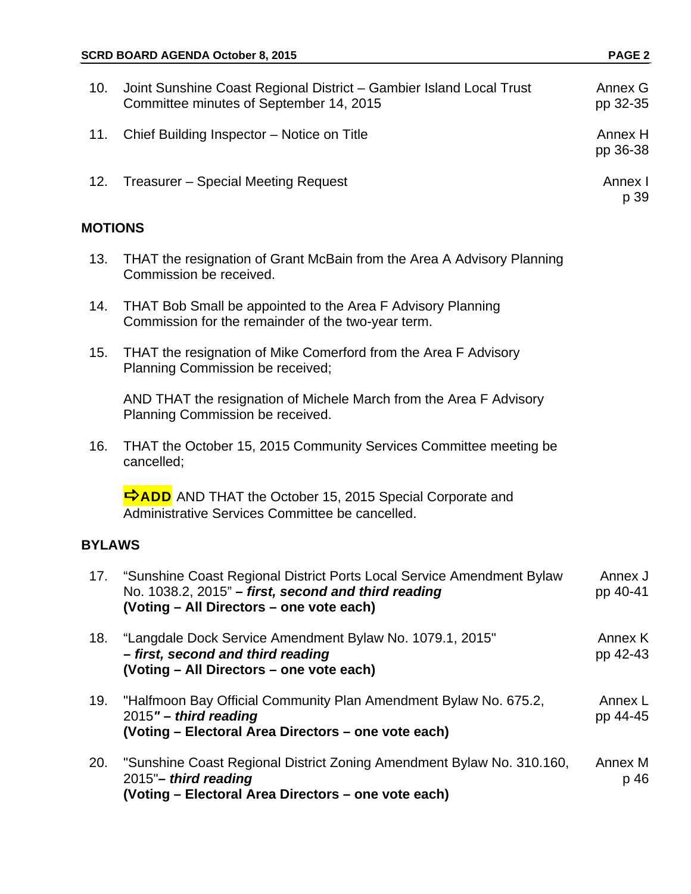| 10.            | Joint Sunshine Coast Regional District - Gambier Island Local Trust<br>Committee minutes of September 14, 2015                                                           | Annex G<br>pp 32-35 |  |  |
|----------------|--------------------------------------------------------------------------------------------------------------------------------------------------------------------------|---------------------|--|--|
| 11.            | Chief Building Inspector - Notice on Title                                                                                                                               | Annex H<br>pp 36-38 |  |  |
| 12.            | Treasurer - Special Meeting Request                                                                                                                                      | Annex I<br>p 39     |  |  |
| <b>MOTIONS</b> |                                                                                                                                                                          |                     |  |  |
| 13.            | THAT the resignation of Grant McBain from the Area A Advisory Planning<br>Commission be received.                                                                        |                     |  |  |
| 14.            | THAT Bob Small be appointed to the Area F Advisory Planning<br>Commission for the remainder of the two-year term.                                                        |                     |  |  |
| 15.            | THAT the resignation of Mike Comerford from the Area F Advisory<br>Planning Commission be received;                                                                      |                     |  |  |
|                | AND THAT the resignation of Michele March from the Area F Advisory<br>Planning Commission be received.                                                                   |                     |  |  |
| 16.            | THAT the October 15, 2015 Community Services Committee meeting be<br>cancelled;                                                                                          |                     |  |  |
|                | ADD AND THAT the October 15, 2015 Special Corporate and<br>Administrative Services Committee be cancelled.                                                               |                     |  |  |
| <b>BYLAWS</b>  |                                                                                                                                                                          |                     |  |  |
| 17.            | "Sunshine Coast Regional District Ports Local Service Amendment Bylaw<br>No. 1038.2, 2015" - first, second and third reading<br>(Voting - All Directors - one vote each) | Annex J<br>pp 40-41 |  |  |
| 18.            | "Langdale Dock Service Amendment Bylaw No. 1079.1, 2015"<br>- first, second and third reading<br>(Voting - All Directors - one vote each)                                | Annex K<br>pp 42-43 |  |  |
| 19.            | "Halfmoon Bay Official Community Plan Amendment Bylaw No. 675.2,<br>$2015"$ – third reading<br>(Voting - Electoral Area Directors - one vote each)                       | Annex L<br>pp 44-45 |  |  |
| 20.            | "Sunshine Coast Regional District Zoning Amendment Bylaw No. 310.160,<br>2015"- third reading<br>(Voting - Electoral Area Directors - one vote each)                     | Annex M<br>p 46     |  |  |